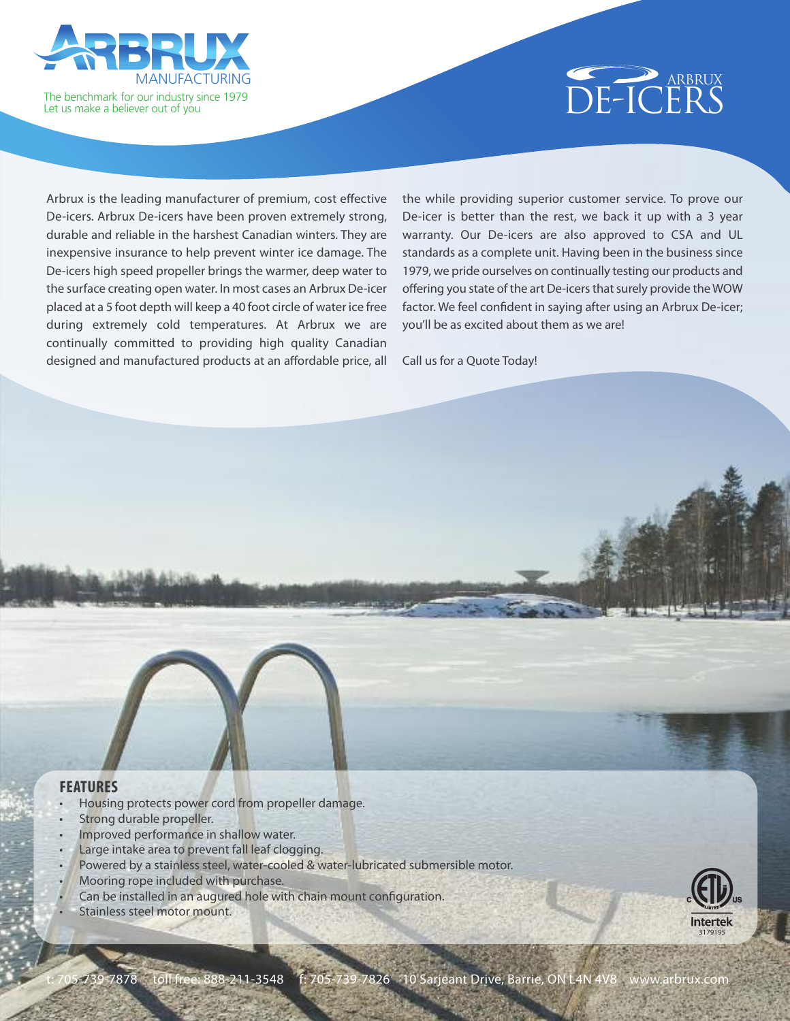



Arbrux is the leading manufacturer of premium, cost effective De-icers. Arbrux De-icers have been proven extremely strong, durable and reliable in the harshest Canadian winters. They are inexpensive insurance to help prevent winter ice damage. The De-icers high speed propeller brings the warmer, deep water to the surface creating open water. In most cases an Arbrux De-icer placed at a 5 foot depth will keep a 40 foot circle of water ice free during extremely cold temperatures. At Arbrux we are continually committed to providing high quality Canadian designed and manufactured products at an affordable price, all

the while providing superior customer service. To prove our De-icer is better than the rest, we back it up with a 3 year warranty. Our De-icers are also approved to CSA and UL standards as a complete unit. Having been in the business since 1979, we pride ourselves on continually testing our products and offering you state of the art De-icers that surely provide the WOW factor. We feel confident in saying after using an Arbrux De-icer; you'll be as excited about them as we are!

Call us for a Quote Today!

#### **FEATURES**

- Housing protects power cord from propeller damage.
- Strong durable propeller.
- Improved performance in shallow water.
- Large intake area to prevent fall leaf clogging.
- Powered by a stainless steel, water-cooled & water-lubricated submersible motor.
- Mooring rope included with purchase.
- Can be installed in an augured hole with chain mount configuration.
- Stainless steel motor mount.